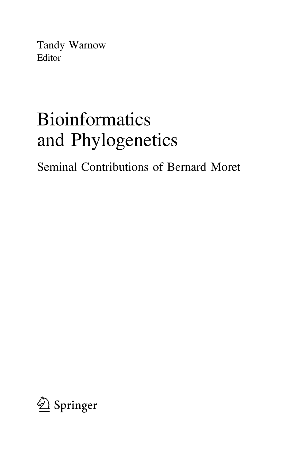Tandy Warnow Editor

# Bioinformatics and Phylogenetics

Seminal Contributions of Bernard Moret

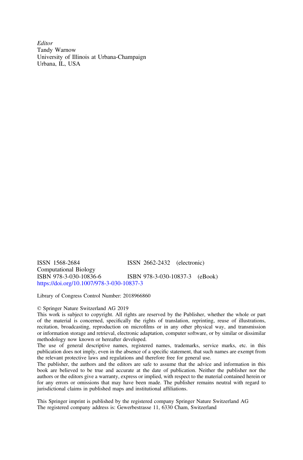**Editor** Tandy Warnow University of Illinois at Urbana-Champaign Urbana, IL, USA

ISSN 1568-2684 ISSN 2662-2432 (electronic) Computational Biology<br>ISBN 978-3-030-10836-6 ISBN 978-3-030-10837-3 (eBook) <https://doi.org/10.1007/978-3-030-10837-3>

Library of Congress Control Number: 2018966860

#### © Springer Nature Switzerland AG 2019

This work is subject to copyright. All rights are reserved by the Publisher, whether the whole or part of the material is concerned, specifically the rights of translation, reprinting, reuse of illustrations, recitation, broadcasting, reproduction on microfilms or in any other physical way, and transmission or information storage and retrieval, electronic adaptation, computer software, or by similar or dissimilar methodology now known or hereafter developed.

The use of general descriptive names, registered names, trademarks, service marks, etc. in this publication does not imply, even in the absence of a specific statement, that such names are exempt from the relevant protective laws and regulations and therefore free for general use.

The publisher, the authors and the editors are safe to assume that the advice and information in this book are believed to be true and accurate at the date of publication. Neither the publisher nor the authors or the editors give a warranty, express or implied, with respect to the material contained herein or for any errors or omissions that may have been made. The publisher remains neutral with regard to jurisdictional claims in published maps and institutional affiliations.

This Springer imprint is published by the registered company Springer Nature Switzerland AG The registered company address is: Gewerbestrasse 11, 6330 Cham, Switzerland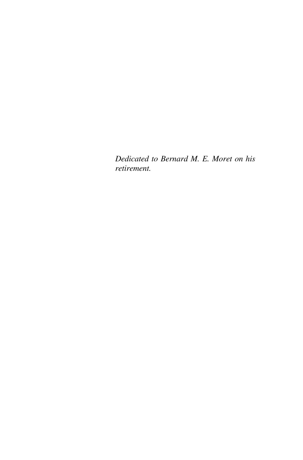Dedicated to Bernard M. E. Moret on his retirement.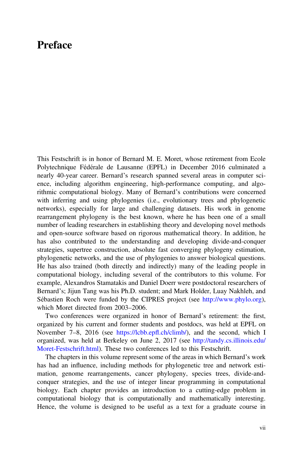## Preface

This Festschrift is in honor of Bernard M. E. Moret, whose retirement from Ecole Polytechnique Fédérale de Lausanne (EPFL) in December 2016 culminated a nearly 40-year career. Bernard's research spanned several areas in computer science, including algorithm engineering, high-performance computing, and algorithmic computational biology. Many of Bernard's contributions were concerned with inferring and using phylogenies (i.e., evolutionary trees and phylogenetic networks), especially for large and challenging datasets. His work in genome rearrangement phylogeny is the best known, where he has been one of a small number of leading researchers in establishing theory and developing novel methods and open-source software based on rigorous mathematical theory. In addition, he has also contributed to the understanding and developing divide-and-conquer strategies, supertree construction, absolute fast converging phylogeny estimation, phylogenetic networks, and the use of phylogenies to answer biological questions. He has also trained (both directly and indirectly) many of the leading people in computational biology, including several of the contributors to this volume. For example, Alexandros Stamatakis and Daniel Doerr were postdoctoral researchers of Bernard's; Jijun Tang was his Ph.D. student; and Mark Holder, Luay Nakhleh, and Sébastien Roch were funded by the CIPRES project (see [http://www.phylo.org\)](http://www.phylo.org), which Moret directed from 2003–2006.

Two conferences were organized in honor of Bernard's retirement: the first, organized by his current and former students and postdocs, was held at EPFL on November 7–8, 2016 (see [https://lcbb.ep](https://lcbb.epfl.ch/climb/)fl.ch/climb/), and the second, which I organized, was held at Berkeley on June 2, 2017 (see [http://tandy.cs.illinois.edu/](http://tandy.cs.illinois.edu/Moret-Festschrift.html) [Moret-Festschrift.html](http://tandy.cs.illinois.edu/Moret-Festschrift.html)). These two conferences led to this Festschrift.

The chapters in this volume represent some of the areas in which Bernard's work has had an influence, including methods for phylogenetic tree and network estimation, genome rearrangements, cancer phylogeny, species trees, divide-andconquer strategies, and the use of integer linear programming in computational biology. Each chapter provides an introduction to a cutting-edge problem in computational biology that is computationally and mathematically interesting. Hence, the volume is designed to be useful as a text for a graduate course in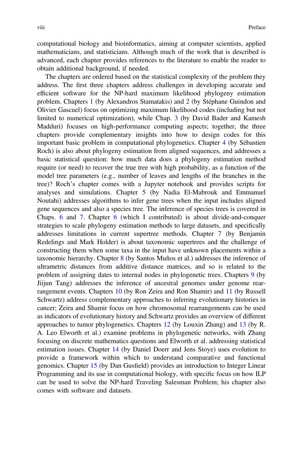computational biology and bioinformatics, aiming at computer scientists, applied mathematicians, and statisticians. Although much of the work that is described is advanced, each chapter provides references to the literature to enable the reader to obtain additional background, if needed.

The chapters are ordered based on the statistical complexity of the problem they address. The first three chapters address challenges in developing accurate and efficient software for the NP-hard maximum likelihood phylogeny estimation problem. Chapters 1 (by Alexandros Stamatakis) and 2 (by Stéphane Guindon and Olivier Gascuel) focus on optimizing maximum likelihood codes (including but not limited to numerical optimization), while Chap. 3 (by David Bader and Kamesh Madduri) focuses on high-performance computing aspects; together, the three chapters provide complementary insights into how to design codes for this important basic problem in computational phylogenetics. Chapter 4 (by Sébastien Roch) is also about phylogeny estimation from aligned sequences, and addresses a basic statistical question: how much data does a phylogeny estimation method require (or need) to recover the true tree with high probability, as a function of the model tree parameters (e.g., number of leaves and lengths of the branches in the tree)? Roch's chapter comes with a Jupyter notebook and provides scripts for analyses and simulations. Chapter 5 (by Nadia El-Mabrouk and Emmanuel Noutahi) addresses algorithms to infer gene trees when the input includes aligned gene sequences and also a species tree. The inference of species trees is covered in Chaps. 6 and 7. Chapter 6 (which I contributed) is about divide-and-conquer strategies to scale phylogeny estimation methods to large datasets, and specifically addresses limitations in current supertree methods. Chapter 7 (by Benjamin Redelings and Mark Holder) is about taxonomic supertrees and the challenge of constructing them when some taxa in the input have unknown placements within a taxonomic hierarchy. Chapter 8 (by Santos Muños et al.) addresses the inference of ultrametric distances from additive distance matrices, and so is related to the problem of assigning dates to internal nodes in phylogenetic trees. Chapters 9 (by Jiijun Tang) addresses the inference of ancestral genomes under genome rearrangement events. Chapters 10 (by Ron Zeira and Ron Shamir) and 11 (by Russell Schwartz) address complementary approaches to inferring evolutionary histories in cancer; Zeira and Shamir focus on how chromosomal rearrangements can be used as indicators of evolutionary history and Schwartz provides an overview of different approaches to tumor phylogenetics. Chapters 12 (by Louxin Zhang) and 13 (by R. A. Leo Elworth et al.) examine problems in phylogenetic networks, with Zhang focusing on discrete mathematics questions and Elworth et al. addressing statistical estimation issues. Chapter 14 (by Daniel Doerr and Jens Stoye) uses evolution to provide a framework within which to understand comparative and functional genomics. Chapter 15 (by Dan Gusfield) provides an introduction to Integer Linear Programming and its use in computational biology, with specific focus on how ILP can be used to solve the NP-hard Traveling Salesman Problem; his chapter also comes with software and datasets.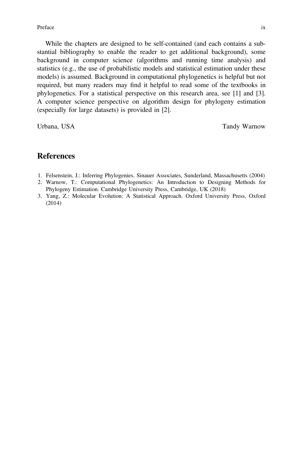While the chapters are designed to be self-contained (and each contains a substantial bibliography to enable the reader to get additional background), some background in computer science (algorithms and running time analysis) and statistics (e.g., the use of probabilistic models and statistical estimation under these models) is assumed. Background in computational phylogenetics is helpful but not required, but many readers may find it helpful to read some of the textbooks in phylogenetics. For a statistical perspective on this research area, see [1] and [3]. A computer science perspective on algorithm design for phylogeny estimation (especially for large datasets) is provided in [2].

Urbana, USA Tandy Warnow Contact a USA Tandy Warnow Tandy Warnow Tandy Warnow Tandy Warnow Tandy Warnow Tandy

### **References**

- 1. Felsenstein, J.: Inferring Phylogenies. Sinauer Associates, Sunderland, Massachusetts (2004)
- 2. Warnow, T.: Computational Phylogenetics: An Introduction to Designing Methods for Phylogeny Estimation. Cambridge University Press, Cambridge, UK (2018)
- 3. Yang, Z.: Molecular Evolution: A Statistical Approach. Oxford University Press, Oxford (2014)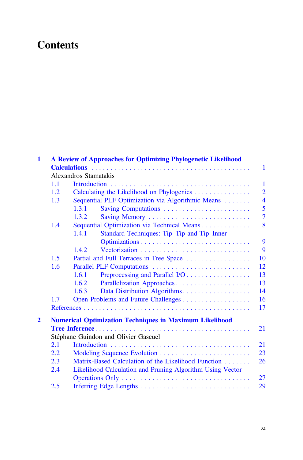## **Contents**

| 1            | A Review of Approaches for Optimizing Phylogenetic Likelihood |                                                                |                |  |  |  |
|--------------|---------------------------------------------------------------|----------------------------------------------------------------|----------------|--|--|--|
|              |                                                               |                                                                | 1              |  |  |  |
|              |                                                               | Alexandros Stamatakis                                          |                |  |  |  |
|              | 1.1                                                           |                                                                | $\mathbf{1}$   |  |  |  |
|              | 1.2.                                                          | $\overline{2}$<br>Calculating the Likelihood on Phylogenies    |                |  |  |  |
|              | 1.3                                                           | Sequential PLF Optimization via Algorithmic Means              |                |  |  |  |
|              |                                                               | 1.3.1<br>Saving Computations                                   | 5              |  |  |  |
|              |                                                               | Saving Memory<br>1.3.2                                         | $\overline{7}$ |  |  |  |
|              | 1.4                                                           | Sequential Optimization via Technical Means                    | 8              |  |  |  |
|              |                                                               | 1.4.1<br>Standard Techniques: Tip-Tip and Tip-Inner            |                |  |  |  |
|              |                                                               |                                                                | 9              |  |  |  |
|              |                                                               | 1.4.2                                                          | 9              |  |  |  |
|              | 1.5                                                           | Partial and Full Terraces in Tree Space                        | 10             |  |  |  |
|              | 1.6                                                           | Parallel PLF Computations                                      | 12             |  |  |  |
|              |                                                               | Preprocessing and Parallel I/O<br>1.6.1                        | 13             |  |  |  |
|              |                                                               | Parallelization Approaches<br>1.6.2                            | 13             |  |  |  |
|              |                                                               | 1.6.3                                                          | 14             |  |  |  |
|              | 1.7                                                           |                                                                | 16             |  |  |  |
|              |                                                               |                                                                | 17             |  |  |  |
|              |                                                               |                                                                |                |  |  |  |
| $\mathbf{2}$ |                                                               | <b>Numerical Optimization Techniques in Maximum Likelihood</b> |                |  |  |  |
|              |                                                               |                                                                | 21             |  |  |  |
|              |                                                               | Stéphane Guindon and Olivier Gascuel                           |                |  |  |  |
|              | 2.1                                                           |                                                                | 21             |  |  |  |
|              | 2.2                                                           | Modeling Sequence Evolution                                    | 23             |  |  |  |
|              | 2.3                                                           | Matrix-Based Calculation of the Likelihood Function<br>26      |                |  |  |  |
|              | 2.4                                                           | Likelihood Calculation and Pruning Algorithm Using Vector      |                |  |  |  |
|              |                                                               |                                                                | 27             |  |  |  |
|              | 2.5                                                           |                                                                | 29             |  |  |  |
|              |                                                               |                                                                |                |  |  |  |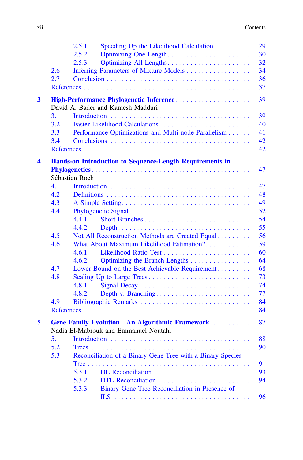|                      |     | 2.5.1<br>Speeding Up the Likelihood Calculation                                         | 29 |  |  |
|----------------------|-----|-----------------------------------------------------------------------------------------|----|--|--|
|                      |     | 2.5.2<br>Optimizing One Length                                                          | 30 |  |  |
|                      |     | 2.5.3                                                                                   | 32 |  |  |
|                      | 2.6 | Inferring Parameters of Mixture Models                                                  | 34 |  |  |
|                      | 2.7 |                                                                                         | 36 |  |  |
|                      |     |                                                                                         | 37 |  |  |
| 3                    |     | High-Performance Phylogenetic Inference                                                 | 39 |  |  |
|                      |     | David A. Bader and Kamesh Madduri                                                       |    |  |  |
|                      | 3.1 |                                                                                         | 39 |  |  |
|                      | 3.2 |                                                                                         | 40 |  |  |
|                      | 3.3 | Performance Optimizations and Multi-node Parallelism                                    | 41 |  |  |
|                      | 3.4 |                                                                                         | 42 |  |  |
|                      |     |                                                                                         | 42 |  |  |
|                      |     |                                                                                         |    |  |  |
| $\blacktriangleleft$ |     | Hands-on Introduction to Sequence-Length Requirements in                                | 47 |  |  |
|                      |     | Sébastien Roch                                                                          |    |  |  |
|                      | 4.1 |                                                                                         | 47 |  |  |
|                      | 4.2 |                                                                                         | 48 |  |  |
|                      | 4.3 |                                                                                         | 49 |  |  |
|                      | 4.4 | Phylogenetic Signal                                                                     | 52 |  |  |
|                      |     | 4.4.1                                                                                   | 54 |  |  |
|                      |     | 4.4.2                                                                                   | 55 |  |  |
|                      | 4.5 | Not All Reconstruction Methods are Created Equal                                        | 56 |  |  |
|                      | 4.6 | What About Maximum Likelihood Estimation?                                               | 59 |  |  |
|                      |     | 4.6.1                                                                                   | 60 |  |  |
|                      |     | 4.6.2<br>Optimizing the Branch Lengths                                                  | 64 |  |  |
|                      | 4.7 | Lower Bound on the Best Achievable Requirement                                          | 68 |  |  |
|                      | 4.8 | Scaling Up to Large Trees                                                               | 73 |  |  |
|                      |     | 4.8.1                                                                                   | 74 |  |  |
|                      |     | 4.8.2<br>Depth v. Branching                                                             | 77 |  |  |
|                      | 4.9 | Bibliographic Remarks                                                                   | 84 |  |  |
|                      |     |                                                                                         | 84 |  |  |
|                      |     |                                                                                         |    |  |  |
| 5                    |     | Gene Family Evolution-An Algorithmic Framework<br>Nadia El-Mabrouk and Emmanuel Noutahi | 87 |  |  |
|                      | 5.1 |                                                                                         |    |  |  |
|                      | 5.2 |                                                                                         | 88 |  |  |
|                      |     |                                                                                         | 90 |  |  |
|                      | 5.3 | Reconciliation of a Binary Gene Tree with a Binary Species                              |    |  |  |
|                      |     |                                                                                         | 91 |  |  |
|                      |     | 5.3.1                                                                                   | 93 |  |  |
|                      |     | 5.3.2<br>DTL Reconciliation                                                             | 94 |  |  |
|                      |     | 5.3.3<br>Binary Gene Tree Reconciliation in Presence of                                 |    |  |  |
|                      |     |                                                                                         | 96 |  |  |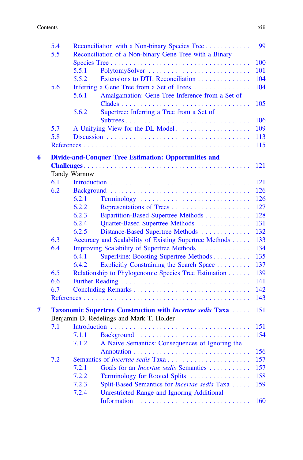|   | 5.4 | Reconciliation with a Non-binary Species Tree                     | 99  |  |  |  |
|---|-----|-------------------------------------------------------------------|-----|--|--|--|
|   | 5.5 | Reconciliation of a Non-binary Gene Tree with a Binary            |     |  |  |  |
|   |     |                                                                   | 100 |  |  |  |
|   |     | 5.5.1                                                             | 101 |  |  |  |
|   |     | 5.5.2<br>Extensions to DTL Reconciliation                         | 104 |  |  |  |
|   | 5.6 | Inferring a Gene Tree from a Set of Trees                         | 104 |  |  |  |
|   |     | 5.6.1<br>Amalgamation: Gene Tree Inference from a Set of          |     |  |  |  |
|   |     |                                                                   | 105 |  |  |  |
|   |     | 5.6.2<br>Supertree: Inferring a Tree from a Set of                |     |  |  |  |
|   |     |                                                                   | 106 |  |  |  |
|   | 5.7 | A Unifying View for the DL Model                                  | 109 |  |  |  |
|   | 5.8 |                                                                   | 113 |  |  |  |
|   |     |                                                                   | 115 |  |  |  |
|   |     |                                                                   |     |  |  |  |
| 6 |     | <b>Divide-and-Conquer Tree Estimation: Opportunities and</b>      |     |  |  |  |
|   |     |                                                                   | 121 |  |  |  |
|   |     | Tandy Warnow                                                      |     |  |  |  |
|   | 6.1 |                                                                   | 121 |  |  |  |
|   | 6.2 |                                                                   | 126 |  |  |  |
|   |     | 6.2.1<br>Terminology                                              | 126 |  |  |  |
|   |     | 6.2.2                                                             | 127 |  |  |  |
|   |     | 6.2.3<br>Bipartition-Based Supertree Methods                      | 128 |  |  |  |
|   |     | 6.2.4<br>Quartet-Based Supertree Methods                          | 131 |  |  |  |
|   |     | 6.2.5<br>Distance-Based Supertree Methods                         | 132 |  |  |  |
|   | 6.3 | Accuracy and Scalability of Existing Supertree Methods            | 133 |  |  |  |
|   | 6.4 | Improving Scalability of Supertree Methods                        | 134 |  |  |  |
|   |     | 6.4.1<br>SuperFine: Boosting Supertree Methods                    | 135 |  |  |  |
|   |     | 6.4.2<br>Explicitly Constraining the Search Space                 | 137 |  |  |  |
|   | 6.5 | Relationship to Phylogenomic Species Tree Estimation              | 139 |  |  |  |
|   | 6.6 |                                                                   | 141 |  |  |  |
|   | 6.7 |                                                                   | 142 |  |  |  |
|   |     |                                                                   | 143 |  |  |  |
| 7 |     | <b>Taxonomic Supertree Construction with Incertae sedis Taxa </b> | 151 |  |  |  |
|   |     | Benjamin D. Redelings and Mark T. Holder                          |     |  |  |  |
|   | 7.1 |                                                                   | 151 |  |  |  |
|   |     | 7.1.1                                                             | 154 |  |  |  |
|   |     | 7.1.2<br>A Naive Semantics: Consequences of Ignoring the          |     |  |  |  |
|   |     | Annotation                                                        | 156 |  |  |  |
|   | 7.2 |                                                                   | 157 |  |  |  |
|   |     | Goals for an <i>Incertae sedis</i> Semantics<br>7.2.1             | 157 |  |  |  |
|   |     | 7.2.2<br>Terminology for Rooted Splits                            | 158 |  |  |  |
|   |     | Split-Based Semantics for <i>Incertae sedis</i> Taxa<br>7.2.3     | 159 |  |  |  |
|   |     | 7.2.4<br><b>Unrestricted Range and Ignoring Additional</b>        |     |  |  |  |
|   |     |                                                                   | 160 |  |  |  |
|   |     |                                                                   |     |  |  |  |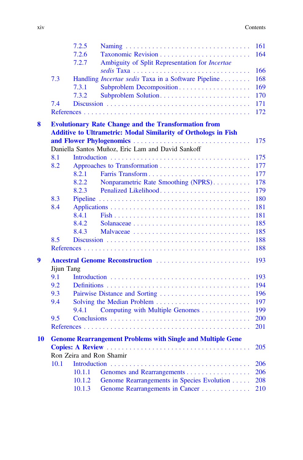|    |                                                             | 7.2.5                                                                 | 161 |  |  |  |
|----|-------------------------------------------------------------|-----------------------------------------------------------------------|-----|--|--|--|
|    |                                                             | 7.2.6                                                                 | 164 |  |  |  |
|    |                                                             | 7.2.7<br>Ambiguity of Split Representation for Incertae               |     |  |  |  |
|    |                                                             | sedis Taxa                                                            | 166 |  |  |  |
|    | 7.3                                                         | Handling <i>Incertae sedis</i> Taxa in a Software Pipeline            | 168 |  |  |  |
|    |                                                             | 7.3.1<br>Subproblem Decomposition                                     | 169 |  |  |  |
|    |                                                             | 7.3.2                                                                 | 170 |  |  |  |
|    | 7.4                                                         |                                                                       | 171 |  |  |  |
|    |                                                             |                                                                       | 172 |  |  |  |
| 8  | <b>Evolutionary Rate Change and the Transformation from</b> |                                                                       |     |  |  |  |
|    |                                                             | <b>Additive to Ultrametric: Modal Similarity of Orthologs in Fish</b> |     |  |  |  |
|    |                                                             | and Flower Phylogenomics                                              | 175 |  |  |  |
|    |                                                             | Daniella Santos Muñoz, Eric Lam and David Sankoff                     |     |  |  |  |
|    | 8.1                                                         |                                                                       | 175 |  |  |  |
|    | 8.2                                                         |                                                                       | 177 |  |  |  |
|    |                                                             | 8.2.1<br>Farris Transform                                             | 177 |  |  |  |
|    |                                                             | 8.2.2<br>Nonparametric Rate Smoothing (NPRS)                          | 178 |  |  |  |
|    |                                                             | 8.2.3<br>Penalized Likelihood                                         | 179 |  |  |  |
|    | 8.3                                                         |                                                                       | 180 |  |  |  |
|    | 8.4                                                         |                                                                       | 181 |  |  |  |
|    |                                                             | 8.4.1                                                                 | 181 |  |  |  |
|    |                                                             | 8.4.2                                                                 | 185 |  |  |  |
|    |                                                             | 8.4.3                                                                 | 185 |  |  |  |
|    | 8.5                                                         |                                                                       | 188 |  |  |  |
|    |                                                             |                                                                       | 188 |  |  |  |
| 9  |                                                             | Ancestral Genome Reconstruction                                       | 193 |  |  |  |
|    | Jijun Tang                                                  |                                                                       |     |  |  |  |
|    | 9.1                                                         |                                                                       | 193 |  |  |  |
|    | 9.2                                                         |                                                                       | 194 |  |  |  |
|    | 9.3                                                         | Pairwise Distance and Sorting                                         | 196 |  |  |  |
|    | 9.4                                                         |                                                                       | 197 |  |  |  |
|    |                                                             | Computing with Multiple Genomes<br>9.4.1                              | 199 |  |  |  |
|    | 9.5                                                         |                                                                       | 200 |  |  |  |
|    |                                                             |                                                                       | 201 |  |  |  |
| 10 |                                                             | <b>Genome Rearrangement Problems with Single and Multiple Gene</b>    |     |  |  |  |
|    |                                                             |                                                                       |     |  |  |  |
|    |                                                             | Ron Zeira and Ron Shamir                                              |     |  |  |  |
|    | 10.1                                                        |                                                                       | 206 |  |  |  |
|    |                                                             | 10.1.1                                                                | 206 |  |  |  |
|    |                                                             | Genome Rearrangements in Species Evolution<br>10.1.2                  | 208 |  |  |  |
|    |                                                             | 10.1.3<br>Genome Rearrangements in Cancer                             | 210 |  |  |  |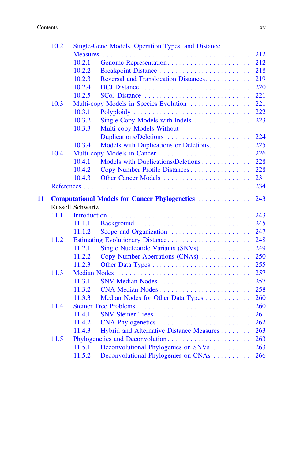#### Contents xv

|    | 10.2                                                  |                     | Single-Gene Models, Operation Types, and Distance |     |  |  |
|----|-------------------------------------------------------|---------------------|---------------------------------------------------|-----|--|--|
|    |                                                       |                     |                                                   | 212 |  |  |
|    |                                                       | 10.2.1              |                                                   | 212 |  |  |
|    |                                                       | 10.2.2              | Breakpoint Distance                               | 218 |  |  |
|    |                                                       | 10.2.3              | Reversal and Translocation Distances              | 219 |  |  |
|    |                                                       | 10.2.4              |                                                   | 220 |  |  |
|    |                                                       | 10.2.5              |                                                   | 221 |  |  |
|    | 10.3                                                  |                     | Multi-copy Models in Species Evolution            | 221 |  |  |
|    |                                                       | 10.3.1              |                                                   | 222 |  |  |
|    |                                                       | 10.3.2              | Single-Copy Models with Indels                    | 223 |  |  |
|    |                                                       | 10.3.3              | Multi-copy Models Without                         |     |  |  |
|    |                                                       |                     | Duplications/Deletions                            | 224 |  |  |
|    |                                                       | 10.3.4              | Models with Duplications or Deletions             | 225 |  |  |
|    | 10.4                                                  |                     | Multi-copy Models in Cancer                       | 226 |  |  |
|    |                                                       | 10.4.1              | Models with Duplications/Deletions                | 228 |  |  |
|    |                                                       | 10.4.2              | Copy Number Profile Distances                     | 228 |  |  |
|    |                                                       | 10.4.3              |                                                   | 231 |  |  |
|    | 234                                                   |                     |                                                   |     |  |  |
| 11 | <b>Computational Models for Cancer Phylogenetics </b> |                     |                                                   |     |  |  |
|    | 243<br><b>Russell Schwartz</b>                        |                     |                                                   |     |  |  |
|    | 11.1                                                  |                     |                                                   | 243 |  |  |
|    |                                                       | 11.1.1              |                                                   | 245 |  |  |
|    |                                                       | 11.1.2              | Scope and Organization                            | 247 |  |  |
|    | 11.2                                                  |                     | Estimating Evolutionary Distance                  | 248 |  |  |
|    |                                                       | 11.2.1              | Single Nucleotide Variants (SNVs)                 | 249 |  |  |
|    |                                                       | 11.2.2              | Copy Number Aberrations (CNAs)                    | 250 |  |  |
|    |                                                       | 11.2.3              |                                                   | 255 |  |  |
|    | 11.3                                                  | <b>Median Nodes</b> |                                                   | 257 |  |  |
|    |                                                       | 11.3.1              | SNV Median Nodes                                  | 257 |  |  |
|    |                                                       | 11.3.2              | CNA Median Nodes                                  | 258 |  |  |
|    |                                                       | 11.3.3              | Median Nodes for Other Data Types                 | 260 |  |  |
|    | 11.4                                                  |                     |                                                   | 260 |  |  |
|    |                                                       | 11.4.1              |                                                   | 261 |  |  |
|    |                                                       | 11.4.2              | CNA Phylogenetics                                 | 262 |  |  |
|    |                                                       | 11.4.3              | Hybrid and Alternative Distance Measures          | 263 |  |  |
|    | 11.5                                                  |                     | Phylogenetics and Deconvolution                   | 263 |  |  |
|    |                                                       |                     | Deconvolutional Phylogenies on SNVs               | 263 |  |  |
|    |                                                       |                     |                                                   |     |  |  |
|    |                                                       | 11.5.1<br>11.5.2    | Deconvolutional Phylogenies on CNAs               | 266 |  |  |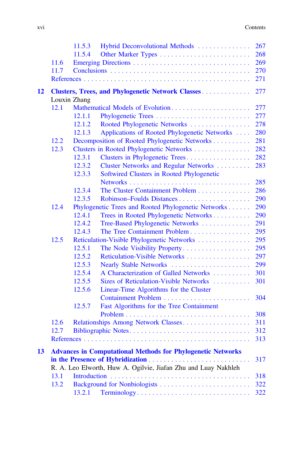|    |      | 11.5.3       | Hybrid Deconvolutional Methods                                     | 267 |
|----|------|--------------|--------------------------------------------------------------------|-----|
|    |      | 11.5.4       |                                                                    | 268 |
|    | 11.6 |              |                                                                    | 269 |
|    | 11.7 |              |                                                                    | 270 |
|    |      |              |                                                                    | 271 |
| 12 |      |              | <b>Clusters, Trees, and Phylogenetic Network Classes</b>           | 277 |
|    |      | Louxin Zhang |                                                                    |     |
|    | 12.1 |              | Mathematical Models of Evolution                                   | 277 |
|    |      | 12.1.1       |                                                                    | 277 |
|    |      | 12.1.2       | Rooted Phylogenetic Networks                                       | 278 |
|    |      | 12.1.3       | Applications of Rooted Phylogenetic Networks                       | 280 |
|    | 12.2 |              | Decomposition of Rooted Phylogenetic Networks                      | 281 |
|    | 12.3 |              | Clusters in Rooted Phylogenetic Networks                           | 282 |
|    |      | 12.3.1       | Clusters in Phylogenetic Trees                                     | 282 |
|    |      | 12.3.2       | Cluster Networks and Regular Networks                              | 283 |
|    |      | 12.3.3       | Softwired Clusters in Rooted Phylogenetic                          |     |
|    |      |              |                                                                    | 285 |
|    |      | 12.3.4       | The Cluster Containment Problem                                    | 286 |
|    |      | 12.3.5       |                                                                    | 290 |
|    | 12.4 |              | Phylogenetic Trees and Rooted Phylogenetic Networks                | 290 |
|    |      | 12.4.1       | Trees in Rooted Phylogenetic Networks                              | 290 |
|    |      | 12.4.2       | Tree-Based Phylogenetic Networks                                   | 291 |
|    |      | 12.4.3       | The Tree Containment Problem                                       | 295 |
|    | 12.5 |              | Reticulation-Visible Phylogenetic Networks                         | 295 |
|    |      | 12.5.1       | The Node Visibility Property                                       | 295 |
|    |      | 12.5.2       | Reticulation-Visible Networks                                      | 297 |
|    |      | 12.5.3       | Nearly Stable Networks                                             | 299 |
|    |      | 12.5.4       | A Characterization of Galled Networks                              | 301 |
|    |      | 12.5.5       | Sizes of Reticulation-Visible Networks                             | 301 |
|    |      | 12.5.6       | Linear-Time Algorithms for the Cluster                             |     |
|    |      |              |                                                                    | 304 |
|    |      | 12.5.7       | Fast Algorithms for the Tree Containment                           |     |
|    |      |              |                                                                    | 308 |
|    | 12.6 |              | Relationships Among Network Classes                                | 311 |
|    | 12.7 |              | Bibliographic Notes                                                | 312 |
|    |      |              |                                                                    | 313 |
| 13 |      |              | <b>Advances in Computational Methods for Phylogenetic Networks</b> |     |
|    |      |              |                                                                    | 317 |
|    |      |              | R. A. Leo Elworth, Huw A. Ogilvie, Jiafan Zhu and Luay Nakhleh     |     |
|    | 13.1 |              |                                                                    | 318 |
|    | 13.2 |              |                                                                    | 322 |
|    |      | 13.2.1       | Terminology                                                        | 322 |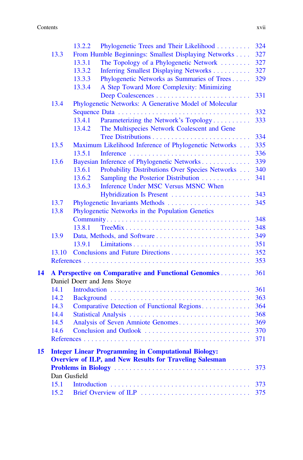#### **Contents** xvii

|    |              | 13.2.2 | Phylogenetic Trees and Their Likelihood                        | 324 |
|----|--------------|--------|----------------------------------------------------------------|-----|
|    | 13.3         |        | From Humble Beginnings: Smallest Displaying Networks           | 327 |
|    |              | 13.3.1 | The Topology of a Phylogenetic Network                         | 327 |
|    |              | 13.3.2 | Inferring Smallest Displaying Networks                         | 327 |
|    |              | 13.3.3 | Phylogenetic Networks as Summaries of Trees                    | 329 |
|    |              | 13.3.4 | A Step Toward More Complexity: Minimizing                      |     |
|    |              |        |                                                                | 331 |
|    | 13.4         |        | Phylogenetic Networks: A Generative Model of Molecular         |     |
|    |              |        |                                                                | 332 |
|    |              | 13.4.1 | Parameterizing the Network's Topology                          | 333 |
|    |              | 13.4.2 | The Multispecies Network Coalescent and Gene                   |     |
|    |              |        |                                                                | 334 |
|    | 13.5         |        | Maximum Likelihood Inference of Phylogenetic Networks          | 335 |
|    |              | 13.5.1 |                                                                | 336 |
|    | 13.6         |        | Bayesian Inference of Phylogenetic Networks                    | 339 |
|    |              | 13.6.1 | Probability Distributions Over Species Networks                | 340 |
|    |              | 13.6.2 | Sampling the Posterior Distribution                            | 341 |
|    |              | 13.6.3 | Inference Under MSC Versus MSNC When                           |     |
|    |              |        | Hybridization Is Present                                       | 343 |
|    | 13.7         |        | Phylogenetic Invariants Methods                                | 345 |
|    | 13.8         |        | Phylogenetic Networks in the Population Genetics               |     |
|    |              |        |                                                                | 348 |
|    |              | 13.8.1 | TreeMix                                                        | 348 |
|    | 13.9         |        |                                                                | 349 |
|    |              | 13.9.1 |                                                                | 351 |
|    | 13.10        |        |                                                                | 352 |
|    |              |        |                                                                | 353 |
| 14 |              |        | A Perspective on Comparative and Functional Genomics           | 361 |
|    |              |        | Daniel Doerr and Jens Stoye                                    |     |
|    | 14.1         |        |                                                                | 361 |
|    | 14.2         |        |                                                                | 363 |
|    | 14.3         |        | Comparative Detection of Functional Regions                    | 364 |
|    | 14.4         |        |                                                                | 368 |
|    | 14.5         |        | Analysis of Seven Amniote Genomes                              | 369 |
|    | 14.6         |        | Conclusion and Outlook                                         | 370 |
|    |              |        |                                                                | 371 |
| 15 |              |        | <b>Integer Linear Programming in Computational Biology:</b>    |     |
|    |              |        | <b>Overview of ILP, and New Results for Traveling Salesman</b> |     |
|    |              |        |                                                                | 373 |
|    | Dan Gusfield |        |                                                                |     |
|    | 15.1         |        |                                                                | 373 |
|    | 15.2         |        | Brief Overview of ILP                                          | 375 |
|    |              |        |                                                                |     |